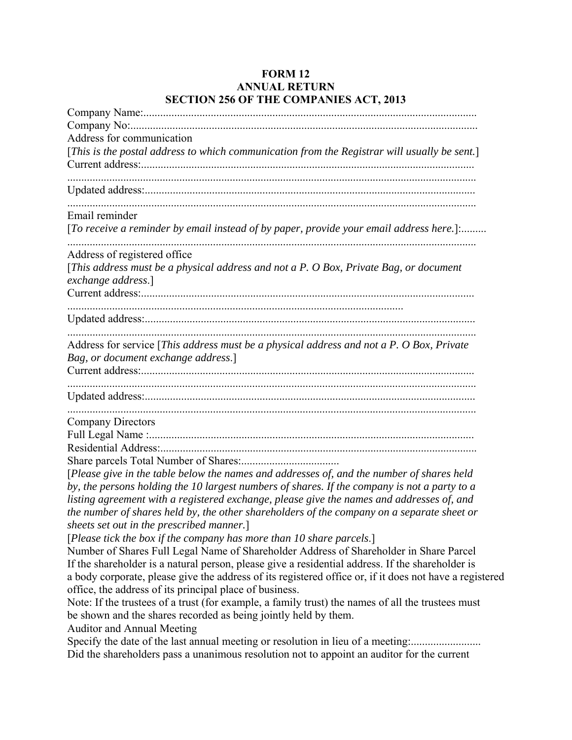## **FORM 12 ANNUAL RETURN SECTION 256 OF THE COMPANIES ACT, 2013**

| Address for communication                                                                    |
|----------------------------------------------------------------------------------------------|
| [This is the postal address to which communication from the Registrar will usually be sent.] |
|                                                                                              |
|                                                                                              |
|                                                                                              |
|                                                                                              |
| Email reminder                                                                               |
| [To receive a reminder by email instead of by paper, provide your email address here.]:      |
| Address of registered office                                                                 |
| [This address must be a physical address and not a P. O Box, Private Bag, or document        |
| exchange address.]                                                                           |
|                                                                                              |
|                                                                                              |
|                                                                                              |
|                                                                                              |
| Address for service [This address must be a physical address and not a P. O Box, Private     |
| Bag, or document exchange address.]                                                          |
|                                                                                              |
|                                                                                              |
|                                                                                              |
|                                                                                              |
| <b>Company Directors</b>                                                                     |
|                                                                                              |
|                                                                                              |
|                                                                                              |
| [Please give in the table below the names and addresses of, and the number of shares held    |
| by, the persons holding the 10 largest numbers of shares. If the company is not a party to a |
| listing agreement with a registered exchange, please give the names and addresses of, and    |

*the number of shares held by, the other shareholders of the company on a separate sheet or sheets set out in the prescribed manner.*]

[*Please tick the box if the company has more than 10 share parcels*.]

Number of Shares Full Legal Name of Shareholder Address of Shareholder in Share Parcel If the shareholder is a natural person, please give a residential address. If the shareholder is a body corporate, please give the address of its registered office or, if it does not have a registered office, the address of its principal place of business.

Note: If the trustees of a trust (for example, a family trust) the names of all the trustees must be shown and the shares recorded as being jointly held by them.

Auditor and Annual Meeting

Specify the date of the last annual meeting or resolution in lieu of a meeting:............................... Did the shareholders pass a unanimous resolution not to appoint an auditor for the current